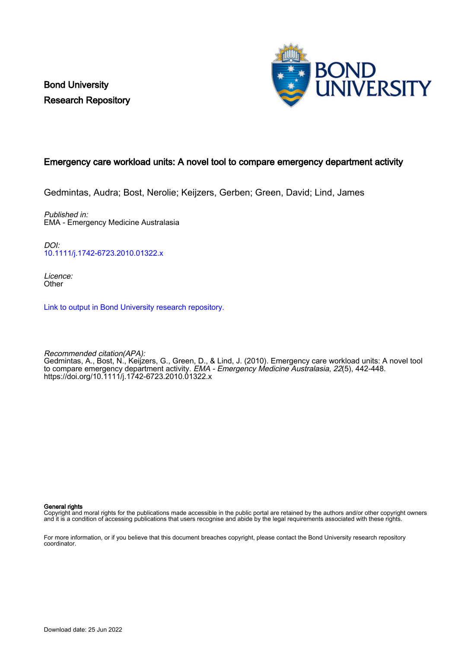Bond University Research Repository



# Emergency care workload units: A novel tool to compare emergency department activity

Gedmintas, Audra; Bost, Nerolie; Keijzers, Gerben; Green, David; Lind, James

Published in: EMA - Emergency Medicine Australasia

DOI: [10.1111/j.1742-6723.2010.01322.x](https://doi.org/10.1111/j.1742-6723.2010.01322.x)

Licence: **Other** 

[Link to output in Bond University research repository.](https://research.bond.edu.au/en/publications/851ad0fb-16c2-4884-ab9a-d367b1e33dc2)

Recommended citation(APA): Gedmintas, A., Bost, N., Keijzers, G., Green, D., & Lind, J. (2010). Emergency care workload units: A novel tool to compare emergency department activity. *EMA - Emergency Medicine Australasia, 22*(5), 442-448. <https://doi.org/10.1111/j.1742-6723.2010.01322.x>

General rights

Copyright and moral rights for the publications made accessible in the public portal are retained by the authors and/or other copyright owners and it is a condition of accessing publications that users recognise and abide by the legal requirements associated with these rights.

For more information, or if you believe that this document breaches copyright, please contact the Bond University research repository coordinator.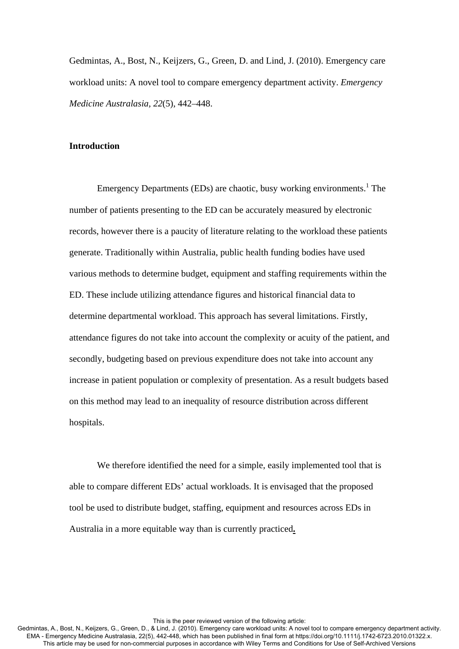Gedmintas, A., Bost, N., Keijzers, G., Green, D. and Lind, J. (2010). Emergency care workload units: A novel tool to compare emergency department activity. *Emergency Medicine Australasia, 22*(5), 442–448.

#### **Introduction**

Emergency Departments (EDs) are chaotic, busy working environments.<sup>1</sup> The number of patients presenting to the ED can be accurately measured by electronic records, however there is a paucity of literature relating to the workload these patients generate. Traditionally within Australia, public health funding bodies have used various methods to determine budget, equipment and staffing requirements within the ED. These include utilizing attendance figures and historical financial data to determine departmental workload. This approach has several limitations. Firstly, attendance figures do not take into account the complexity or acuity of the patient, and secondly, budgeting based on previous expenditure does not take into account any increase in patient population or complexity of presentation. As a result budgets based on this method may lead to an inequality of resource distribution across different hospitals.

We therefore identified the need for a simple, easily implemented tool that is able to compare different EDs' actual workloads. It is envisaged that the proposed tool be used to distribute budget, staffing, equipment and resources across EDs in Australia in a more equitable way than is currently practiced**.**

This is the peer reviewed version of the following article: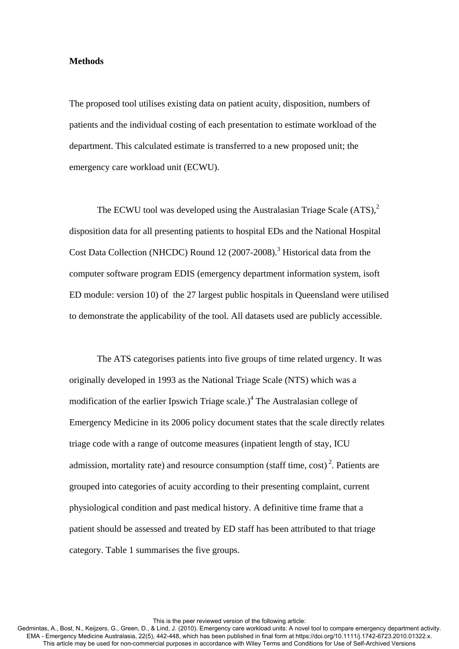#### **Methods**

The proposed tool utilises existing data on patient acuity, disposition, numbers of patients and the individual costing of each presentation to estimate workload of the department. This calculated estimate is transferred to a new proposed unit; the emergency care workload unit (ECWU).

The ECWU tool was developed using the Australasian Triage Scale  $(ATS)$ ,  $^{2}$ disposition data for all presenting patients to hospital EDs and the National Hospital Cost Data Collection (NHCDC) Round 12 (2007-2008).<sup>3</sup> Historical data from the computer software program EDIS (emergency department information system, isoft ED module: version 10) of the 27 largest public hospitals in Queensland were utilised to demonstrate the applicability of the tool. All datasets used are publicly accessible.

 The ATS categorises patients into five groups of time related urgency. It was originally developed in 1993 as the National Triage Scale (NTS) which was a modification of the earlier Ipswich Triage scale.)<sup>4</sup> The Australasian college of Emergency Medicine in its 2006 policy document states that the scale directly relates triage code with a range of outcome measures (inpatient length of stay, ICU admission, mortality rate) and resource consumption (staff time,  $\cosh^2$ ). Patients are grouped into categories of acuity according to their presenting complaint, current physiological condition and past medical history. A definitive time frame that a patient should be assessed and treated by ED staff has been attributed to that triage category. Table 1 summarises the five groups.

This is the peer reviewed version of the following article: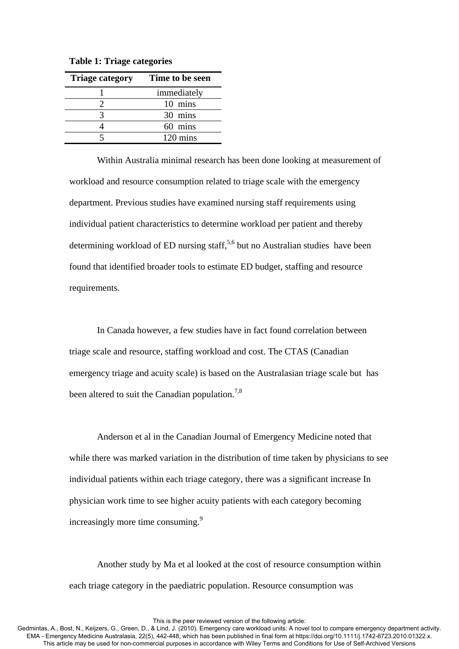| <b>Triage category</b> | Time to be seen |
|------------------------|-----------------|
|                        | immediately     |
|                        | 10 mins         |
|                        | 30 mins         |
|                        | 60 mins         |
|                        | 120 mins        |

**Table 1: Triage categories** 

Within Australia minimal research has been done looking at measurement of workload and resource consumption related to triage scale with the emergency department. Previous studies have examined nursing staff requirements using individual patient characteristics to determine workload per patient and thereby determining workload of ED nursing staff,<sup>5,6</sup> but no Australian studies have been found that identified broader tools to estimate ED budget, staffing and resource requirements.

In Canada however, a few studies have in fact found correlation between triage scale and resource, staffing workload and cost. The CTAS (Canadian emergency triage and acuity scale) is based on the Australasian triage scale but has been altered to suit the Canadian population.<sup>7,8</sup>

Anderson et al in the Canadian Journal of Emergency Medicine noted that while there was marked variation in the distribution of time taken by physicians to see individual patients within each triage category, there was a significant increase In physician work time to see higher acuity patients with each category becoming increasingly more time consuming.9

Another study by Ma et al looked at the cost of resource consumption within each triage category in the paediatric population. Resource consumption was

This is the peer reviewed version of the following article: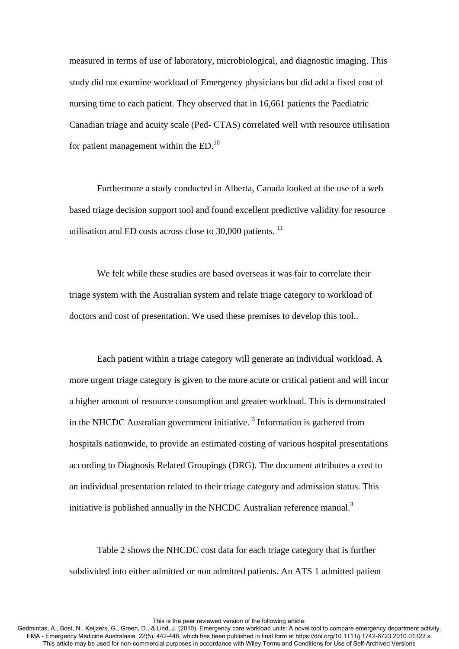measured in terms of use of laboratory, microbiological, and diagnostic imaging. This study did not examine workload of Emergency physicians but did add a fixed cost of nursing time to each patient. They observed that in 16,661 patients the Paediatric Canadian triage and acuity scale (Ped- CTAS) correlated well with resource utilisation for patient management within the  $ED<sub>10</sub>$ .

Furthermore a study conducted in Alberta, Canada looked at the use of a web based triage decision support tool and found excellent predictive validity for resource utilisation and ED costs across close to  $30,000$  patients.  $^{11}$ 

We felt while these studies are based overseas it was fair to correlate their triage system with the Australian system and relate triage category to workload of doctors and cost of presentation. We used these premises to develop this tool..

 Each patient within a triage category will generate an individual workload. A more urgent triage category is given to the more acute or critical patient and will incur a higher amount of resource consumption and greater workload. This is demonstrated in the NHCDC Australian government initiative.<sup>3</sup> Information is gathered from hospitals nationwide, to provide an estimated costing of various hospital presentations according to Diagnosis Related Groupings (DRG). The document attributes a cost to an individual presentation related to their triage category and admission status. This initiative is published annually in the NHCDC Australian reference manual.<sup>3</sup>

 Table 2 shows the NHCDC cost data for each triage category that is further subdivided into either admitted or non admitted patients. An ATS 1 admitted patient

This is the peer reviewed version of the following article: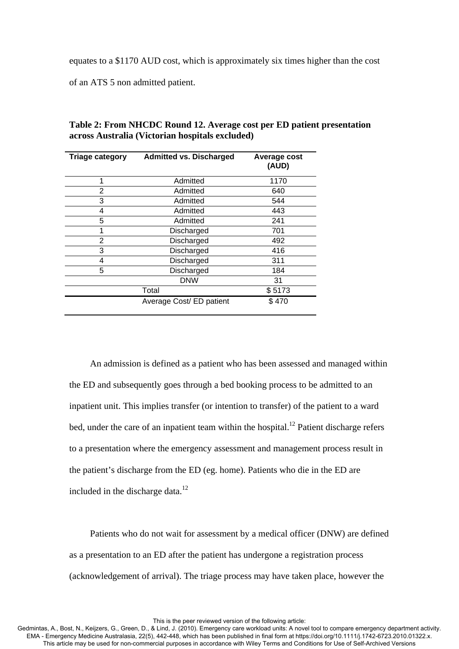equates to a \$1170 AUD cost, which is approximately six times higher than the cost

of an ATS 5 non admitted patient.

| Table 2: From NHCDC Round 12. Average cost per ED patient presentation |
|------------------------------------------------------------------------|
| across Australia (Victorian hospitals excluded)                        |

| <b>Triage category</b> | <b>Admitted vs. Discharged</b> | Average cost<br>(AUD) |
|------------------------|--------------------------------|-----------------------|
| 1                      | Admitted                       | 1170                  |
| 2                      | Admitted                       | 640                   |
| 3                      | Admitted                       | 544                   |
| 4                      | Admitted                       | 443                   |
| 5                      | Admitted                       | 241                   |
| 1                      | Discharged                     | 701                   |
| $\overline{2}$         | Discharged                     | 492                   |
| 3                      | Discharged                     | 416                   |
| 4                      | Discharged                     | 311                   |
| 5                      | Discharged                     | 184                   |
|                        | <b>DNW</b>                     | 31                    |
|                        | Total                          | \$5173                |
|                        | Average Cost/ ED patient       | \$470                 |

An admission is defined as a patient who has been assessed and managed within the ED and subsequently goes through a bed booking process to be admitted to an inpatient unit. This implies transfer (or intention to transfer) of the patient to a ward bed, under the care of an inpatient team within the hospital.<sup>12</sup> Patient discharge refers to a presentation where the emergency assessment and management process result in the patient's discharge from the ED (eg. home). Patients who die in the ED are included in the discharge data. $12$ 

Patients who do not wait for assessment by a medical officer (DNW) are defined as a presentation to an ED after the patient has undergone a registration process (acknowledgement of arrival). The triage process may have taken place, however the

This is the peer reviewed version of the following article: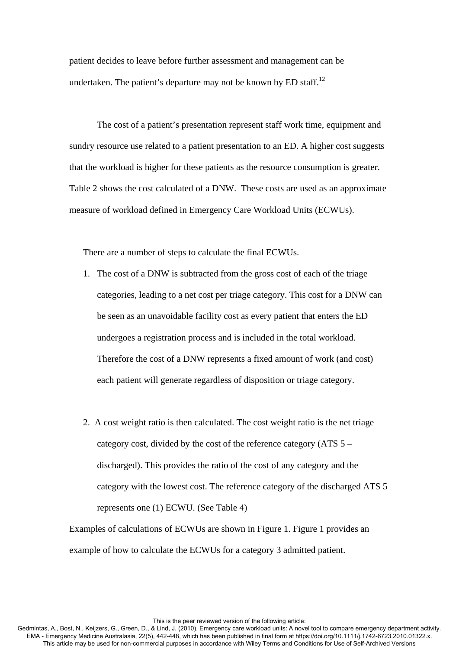patient decides to leave before further assessment and management can be undertaken. The patient's departure may not be known by ED staff.<sup>12</sup>

 The cost of a patient's presentation represent staff work time, equipment and sundry resource use related to a patient presentation to an ED. A higher cost suggests that the workload is higher for these patients as the resource consumption is greater. Table 2 shows the cost calculated of a DNW. These costs are used as an approximate measure of workload defined in Emergency Care Workload Units (ECWUs).

There are a number of steps to calculate the final ECWUs.

- 1. The cost of a DNW is subtracted from the gross cost of each of the triage categories, leading to a net cost per triage category. This cost for a DNW can be seen as an unavoidable facility cost as every patient that enters the ED undergoes a registration process and is included in the total workload. Therefore the cost of a DNW represents a fixed amount of work (and cost) each patient will generate regardless of disposition or triage category.
- 2. A cost weight ratio is then calculated. The cost weight ratio is the net triage category cost, divided by the cost of the reference category (ATS 5 – discharged). This provides the ratio of the cost of any category and the category with the lowest cost. The reference category of the discharged ATS 5 represents one (1) ECWU. (See Table 4)

Examples of calculations of ECWUs are shown in Figure 1. Figure 1 provides an example of how to calculate the ECWUs for a category 3 admitted patient.

This is the peer reviewed version of the following article: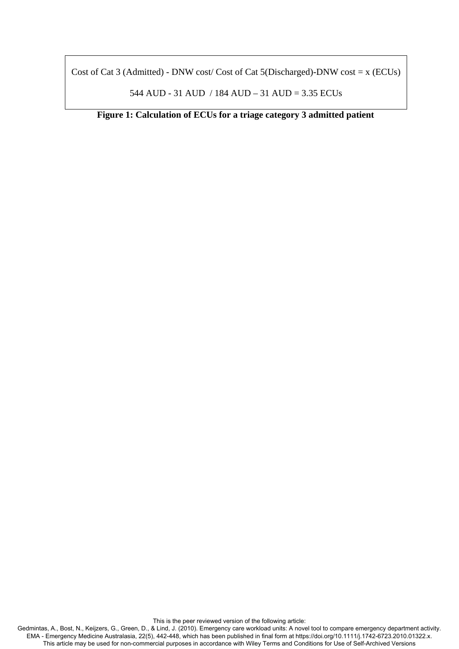Cost of Cat 3 (Admitted) - DNW cost/ Cost of Cat 5(Discharged)-DNW cost =  $x$  (ECUs)

544 AUD - 31 AUD / 184 AUD – 31 AUD = 3.35 ECUs

**Figure 1: Calculation of ECUs for a triage category 3 admitted patient**

This is the peer reviewed version of the following article: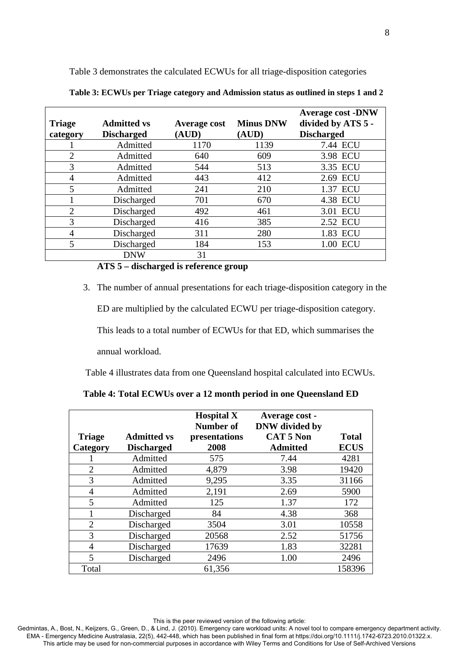Table 3 demonstrates the calculated ECWUs for all triage-disposition categories

| <b>Triage</b><br>category | <b>Admitted vs</b><br><b>Discharged</b> | <b>Average cost</b><br>(AUD) | <b>Minus DNW</b><br>(AUD) | <b>Average cost -DNW</b><br>divided by ATS 5 -<br><b>Discharged</b> |
|---------------------------|-----------------------------------------|------------------------------|---------------------------|---------------------------------------------------------------------|
|                           | Admitted                                | 1170                         | 1139                      | 7.44 ECU                                                            |
| $\overline{2}$            | Admitted                                | 640                          | 609                       | 3.98 ECU                                                            |
| 3                         | Admitted                                | 544                          | 513                       | 3.35 ECU                                                            |
| 4                         | Admitted                                | 443                          | 412                       | 2.69 ECU                                                            |
| 5                         | Admitted                                | 241                          | 210                       | 1.37 ECU                                                            |
|                           | Discharged                              | 701                          | 670                       | 4.38 ECU                                                            |
| $\overline{2}$            | Discharged                              | 492                          | 461                       | 3.01 ECU                                                            |
| 3                         | Discharged                              | 416                          | 385                       | 2.52 ECU                                                            |
| 4                         | Discharged                              | 311                          | 280                       | 1.83 ECU                                                            |
| 5                         | Discharged                              | 184                          | 153                       | 1.00 ECU                                                            |
|                           | DNW                                     | 31                           |                           |                                                                     |

**Table 3: ECWUs per Triage category and Admission status as outlined in steps 1 and 2** 

# **ATS 5 – discharged is reference group**

3. The number of annual presentations for each triage-disposition category in the

ED are multiplied by the calculated ECWU per triage-disposition category.

This leads to a total number of ECWUs for that ED, which summarises the

annual workload.

Table 4 illustrates data from one Queensland hospital calculated into ECWUs.

| Table 4: Total ECWUs over a 12 month period in one Queensland ED |  |
|------------------------------------------------------------------|--|
|------------------------------------------------------------------|--|

| <b>Triage</b><br>Category | <b>Admitted vs</b><br><b>Discharged</b> | <b>Hospital X</b><br><b>Number of</b><br>presentations<br>2008 | Average cost -<br><b>DNW</b> divided by<br><b>CAT 5 Non</b><br><b>Admitted</b> | <b>Total</b><br><b>ECUS</b> |
|---------------------------|-----------------------------------------|----------------------------------------------------------------|--------------------------------------------------------------------------------|-----------------------------|
|                           | Admitted                                | 575                                                            | 7.44                                                                           | 4281                        |
| $\overline{2}$            | Admitted                                | 4,879                                                          | 3.98                                                                           | 19420                       |
| 3                         | Admitted                                | 9,295                                                          | 3.35                                                                           | 31166                       |
| 4                         | Admitted                                | 2,191                                                          | 2.69                                                                           | 5900                        |
| 5                         | Admitted                                | 125                                                            | 1.37                                                                           | 172                         |
|                           | Discharged                              | 84                                                             | 4.38                                                                           | 368                         |
| $\overline{2}$            | Discharged                              | 3504                                                           | 3.01                                                                           | 10558                       |
| 3                         | Discharged                              | 20568                                                          | 2.52                                                                           | 51756                       |
| 4                         | Discharged                              | 17639                                                          | 1.83                                                                           | 32281                       |
| 5                         | Discharged                              | 2496                                                           | 1.00                                                                           | 2496                        |
| Total                     |                                         | 61,356                                                         |                                                                                | 158396                      |

This is the peer reviewed version of the following article: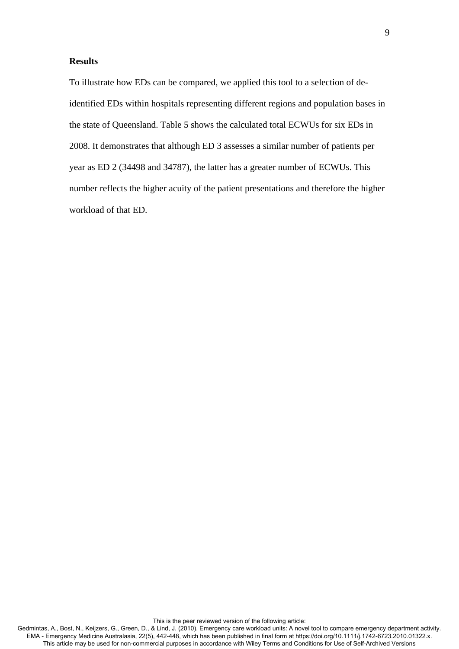## **Results**

To illustrate how EDs can be compared, we applied this tool to a selection of deidentified EDs within hospitals representing different regions and population bases in the state of Queensland. Table 5 shows the calculated total ECWUs for six EDs in 2008. It demonstrates that although ED 3 assesses a similar number of patients per year as ED 2 (34498 and 34787), the latter has a greater number of ECWUs. This number reflects the higher acuity of the patient presentations and therefore the higher workload of that ED.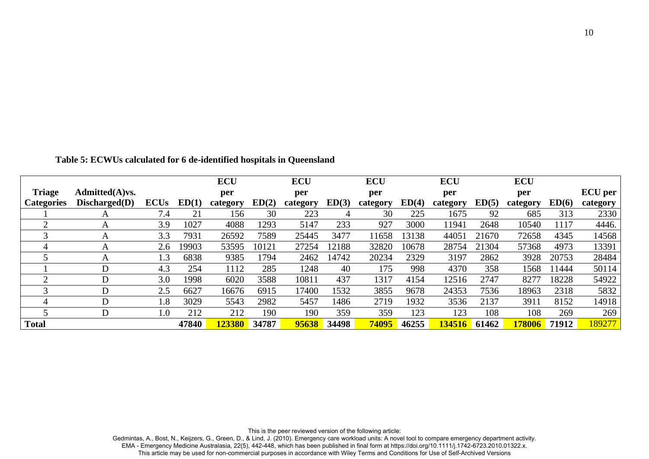|                   |                   |             |       | <b>ECU</b> |       | <b>ECU</b> |       | <b>ECU</b> |       | <b>ECU</b> |       | <b>ECU</b> |        |                |
|-------------------|-------------------|-------------|-------|------------|-------|------------|-------|------------|-------|------------|-------|------------|--------|----------------|
| <b>Triage</b>     | $Admitted(A)$ vs. |             |       | per        |       | per        |       | per        |       | per        |       | per        |        | <b>ECU</b> per |
| <b>Categories</b> | Discharged(D)     | <b>ECUs</b> | ED(1) | category   | ED(2) | category   | ED(3) | category   | ED(4) | category   | ED(5) | category   | ED(6)  | category       |
|                   | A                 | 7.4         | 21    | 156        | 30    | 223        |       | 30         | 225   | 1675       | 92    | 685        | 313    | 2330           |
| $\bigcirc$        | A                 | 3.9         | 1027  | 4088       | 1293  | 5147       | 233   | 927        | 3000  | 11941      | 2648  | 10540      | 1117   | 4446.          |
| 3                 | А                 | 3.3         | 7931  | 26592      | 7589  | 25445      | 3477  | 11658      | 13138 | 44051      | 21670 | 72658      | 4345   | 14568          |
| 4                 | А                 | 2.6         | 19903 | 53595      | 10121 | 27254      | 12188 | 32820      | 10678 | 28754      | 21304 | 57368      | 4973   | 13391          |
|                   | A                 | 1.3         | 6838  | 9385       | 1794  | 2462       | 14742 | 20234      | 2329  | 3197       | 2862  | 3928       | 20753  | 28484          |
|                   | D                 | 4.3         | 254   | 1112       | 285   | 1248       | 40    | 175        | 998   | 4370       | 358   | 1568       | l 1444 | 50114          |
| 2                 | D                 | 3.0         | 1998  | 6020       | 3588  | 10811      | 437   | 1317       | 4154  | 12516      | 2747  | 8277       | 18228  | 54922          |
| 3                 | D                 | 2.5         | 6627  | 16676      | 6915  | 17400      | 1532  | 3855       | 9678  | 24353      | 7536  | 18963      | 2318   | 5832           |
| 4                 | D                 | 1.8         | 3029  | 5543       | 2982  | 5457       | 1486  | 2719       | 1932  | 3536       | 2137  | 3911       | 8152   | 14918          |
|                   | D                 | $1.0\,$     | 212   | 212        | 190   | 190        | 359   | 359        | 123   | 123        | 108   | 108        | 269    | 269            |
| <b>Total</b>      |                   |             | 47840 | 123380     | 34787 | 95638      | 34498 | 74095      | 46255 | 34516      | 61462 | 178006     | 71912  | 189277         |

**Table 5: ECWUs calculated for 6 de-identified hospitals in Queensland** 

This is the peer reviewed version of the following article:

Gedmintas, A., Bost, N., Keijzers, G., Green, D., & Lind, J. (2010). Emergency care workload units: A novel tool to compare emergency department activity.<br>EMA - Emergency Medicine Australasia, 22(5), 442-448, which has bee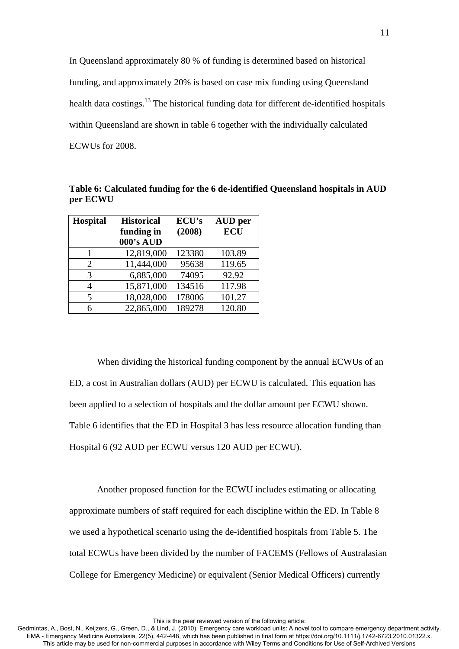In Queensland approximately 80 % of funding is determined based on historical funding, and approximately 20% is based on case mix funding using Queensland health data costings.<sup>13</sup> The historical funding data for different de-identified hospitals within Queensland are shown in table 6 together with the individually calculated ECWUs for 2008.

| Table 6: Calculated funding for the 6 de-identified Queensland hospitals in AUD |  |
|---------------------------------------------------------------------------------|--|
| per ECWU                                                                        |  |

| <b>Hospital</b>          | <b>Historical</b> | ECU's  | <b>AUD</b> per |
|--------------------------|-------------------|--------|----------------|
|                          | funding in        | (2008) | <b>ECU</b>     |
|                          | 000's AUD         |        |                |
| 1                        | 12,819,000        | 123380 | 103.89         |
| 2                        | 11,444,000        | 95638  | 119.65         |
| 3                        | 6,885,000         | 74095  | 92.92          |
| 4                        | 15,871,000        | 134516 | 117.98         |
| $\overline{\phantom{0}}$ | 18,028,000        | 178006 | 101.27         |
| 6                        | 22,865,000        | 189278 | 120.80         |

 When dividing the historical funding component by the annual ECWUs of an ED, a cost in Australian dollars (AUD) per ECWU is calculated. This equation has been applied to a selection of hospitals and the dollar amount per ECWU shown. Table 6 identifies that the ED in Hospital 3 has less resource allocation funding than Hospital 6 (92 AUD per ECWU versus 120 AUD per ECWU).

 Another proposed function for the ECWU includes estimating or allocating approximate numbers of staff required for each discipline within the ED. In Table 8 we used a hypothetical scenario using the de-identified hospitals from Table 5. The total ECWUs have been divided by the number of FACEMS (Fellows of Australasian College for Emergency Medicine) or equivalent (Senior Medical Officers) currently

This is the peer reviewed version of the following article: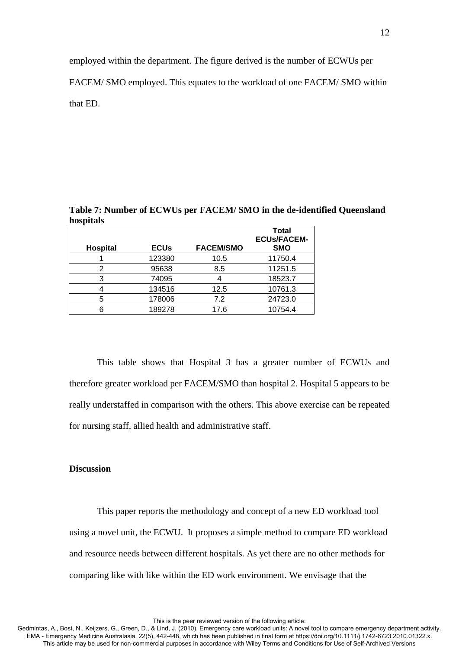employed within the department. The figure derived is the number of ECWUs per

FACEM/ SMO employed. This equates to the workload of one FACEM/ SMO within

that ED.

|           | Table 7: Number of ECWUs per FACEM/SMO in the de-identified Queensland |  |
|-----------|------------------------------------------------------------------------|--|
| hospitals |                                                                        |  |
|           |                                                                        |  |

|                 |             |                  | <b>Total</b><br><b>ECUs/FACEM-</b> |
|-----------------|-------------|------------------|------------------------------------|
| <b>Hospital</b> | <b>ECUs</b> | <b>FACEM/SMO</b> | <b>SMO</b>                         |
|                 | 123380      | 10.5             | 11750.4                            |
| 2               | 95638       | 8.5              | 11251.5                            |
|                 | 74095       |                  | 18523.7                            |
|                 | 134516      | 12.5             | 10761.3                            |
| 5               | 178006      | 7.2              | 24723.0                            |
|                 | 189278      | 17.6             | 10754.4                            |
|                 |             |                  |                                    |

This table shows that Hospital 3 has a greater number of ECWUs and therefore greater workload per FACEM/SMO than hospital 2. Hospital 5 appears to be really understaffed in comparison with the others. This above exercise can be repeated for nursing staff, allied health and administrative staff.

## **Discussion**

This paper reports the methodology and concept of a new ED workload tool using a novel unit, the ECWU. It proposes a simple method to compare ED workload and resource needs between different hospitals. As yet there are no other methods for comparing like with like within the ED work environment. We envisage that the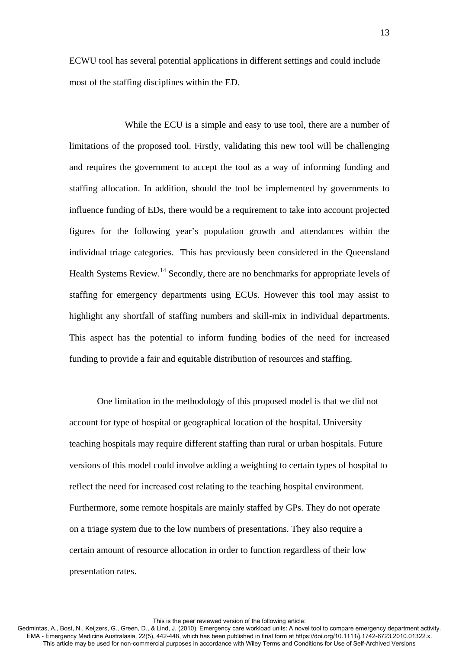ECWU tool has several potential applications in different settings and could include most of the staffing disciplines within the ED.

 While the ECU is a simple and easy to use tool, there are a number of limitations of the proposed tool. Firstly, validating this new tool will be challenging and requires the government to accept the tool as a way of informing funding and staffing allocation. In addition, should the tool be implemented by governments to influence funding of EDs, there would be a requirement to take into account projected figures for the following year's population growth and attendances within the individual triage categories. This has previously been considered in the Queensland Health Systems Review.<sup>14</sup> Secondly, there are no benchmarks for appropriate levels of staffing for emergency departments using ECUs. However this tool may assist to highlight any shortfall of staffing numbers and skill-mix in individual departments. This aspect has the potential to inform funding bodies of the need for increased funding to provide a fair and equitable distribution of resources and staffing.

 One limitation in the methodology of this proposed model is that we did not account for type of hospital or geographical location of the hospital. University teaching hospitals may require different staffing than rural or urban hospitals. Future versions of this model could involve adding a weighting to certain types of hospital to reflect the need for increased cost relating to the teaching hospital environment. Furthermore, some remote hospitals are mainly staffed by GPs. They do not operate on a triage system due to the low numbers of presentations. They also require a certain amount of resource allocation in order to function regardless of their low presentation rates.

This is the peer reviewed version of the following article: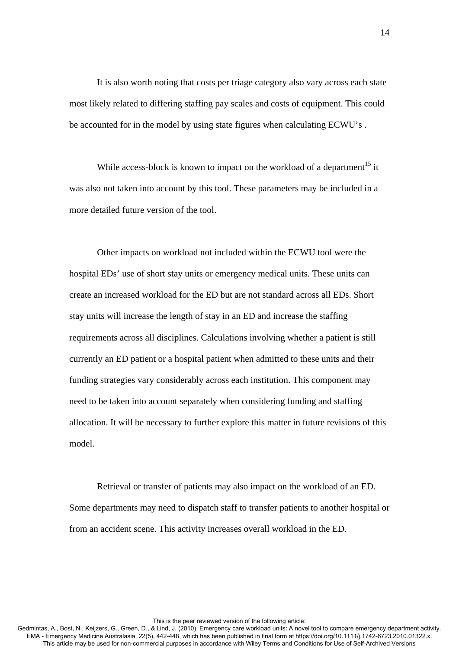It is also worth noting that costs per triage category also vary across each state most likely related to differing staffing pay scales and costs of equipment. This could be accounted for in the model by using state figures when calculating ECWU's .

While access-block is known to impact on the workload of a department<sup>15</sup> it was also not taken into account by this tool. These parameters may be included in a more detailed future version of the tool.

 Other impacts on workload not included within the ECWU tool were the hospital EDs' use of short stay units or emergency medical units. These units can create an increased workload for the ED but are not standard across all EDs. Short stay units will increase the length of stay in an ED and increase the staffing requirements across all disciplines. Calculations involving whether a patient is still currently an ED patient or a hospital patient when admitted to these units and their funding strategies vary considerably across each institution. This component may need to be taken into account separately when considering funding and staffing allocation. It will be necessary to further explore this matter in future revisions of this model.

Retrieval or transfer of patients may also impact on the workload of an ED. Some departments may need to dispatch staff to transfer patients to another hospital or from an accident scene. This activity increases overall workload in the ED.

This is the peer reviewed version of the following article: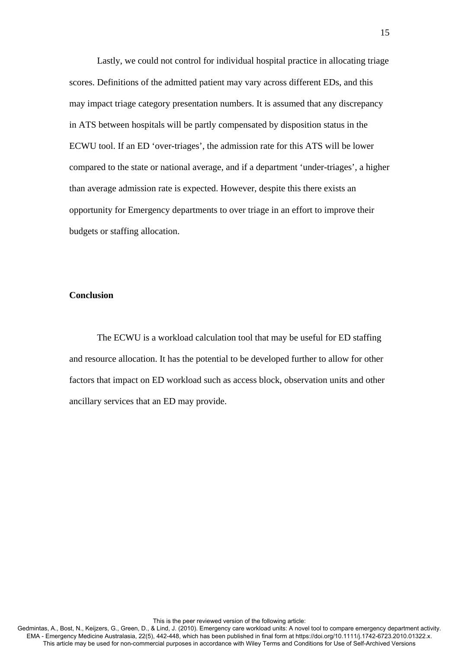Lastly, we could not control for individual hospital practice in allocating triage scores. Definitions of the admitted patient may vary across different EDs, and this may impact triage category presentation numbers. It is assumed that any discrepancy in ATS between hospitals will be partly compensated by disposition status in the ECWU tool. If an ED 'over-triages', the admission rate for this ATS will be lower compared to the state or national average, and if a department 'under-triages', a higher than average admission rate is expected. However, despite this there exists an opportunity for Emergency departments to over triage in an effort to improve their budgets or staffing allocation.

## **Conclusion**

The ECWU is a workload calculation tool that may be useful for ED staffing and resource allocation. It has the potential to be developed further to allow for other factors that impact on ED workload such as access block, observation units and other ancillary services that an ED may provide.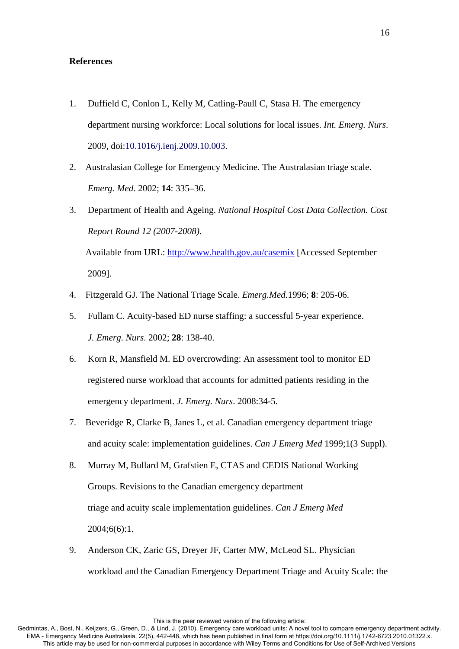### **References**

- 1. Duffield C, Conlon L, Kelly M, Catling-Paull C, Stasa H. The emergency department nursing workforce: Local solutions for local issues. *Int. Emerg. Nurs*. 2009, doi:10.1016/j.ienj.2009.10.003.
- 2. Australasian College for Emergency Medicine. The Australasian triage scale. *Emerg. Med*. 2002; **14**: 335–36.
- 3. Department of Health and Ageing. *National Hospital Cost Data Collection. Cost Report Round 12 (2007-2008)*.

 Available from URL: http://www.health.gov.au/casemix [Accessed September 2009].

- 4. Fitzgerald GJ. The National Triage Scale. *Emerg.Med.*1996; **8**: 205-06.
- 5. Fullam C. Acuity-based ED nurse staffing: a successful 5-year experience.  *J. Emerg. Nurs*. 2002; **28**: 138-40.
- 6. Korn R, Mansfield M. ED overcrowding: An assessment tool to monitor ED registered nurse workload that accounts for admitted patients residing in the emergency department. *J. Emerg. Nurs*. 2008:34-5.
- 7. Beveridge R, Clarke B, Janes L, et al. Canadian emergency department triage and acuity scale: implementation guidelines. *Can J Emerg Med* 1999;1(3 Suppl).
- 8. Murray M, Bullard M, Grafstien E, CTAS and CEDIS National Working Groups. Revisions to the Canadian emergency department triage and acuity scale implementation guidelines. *Can J Emerg Med* 2004;6(6):1.
- 9. Anderson CK, Zaric GS, Dreyer JF, Carter MW, McLeod SL. Physician workload and the Canadian Emergency Department Triage and Acuity Scale: the